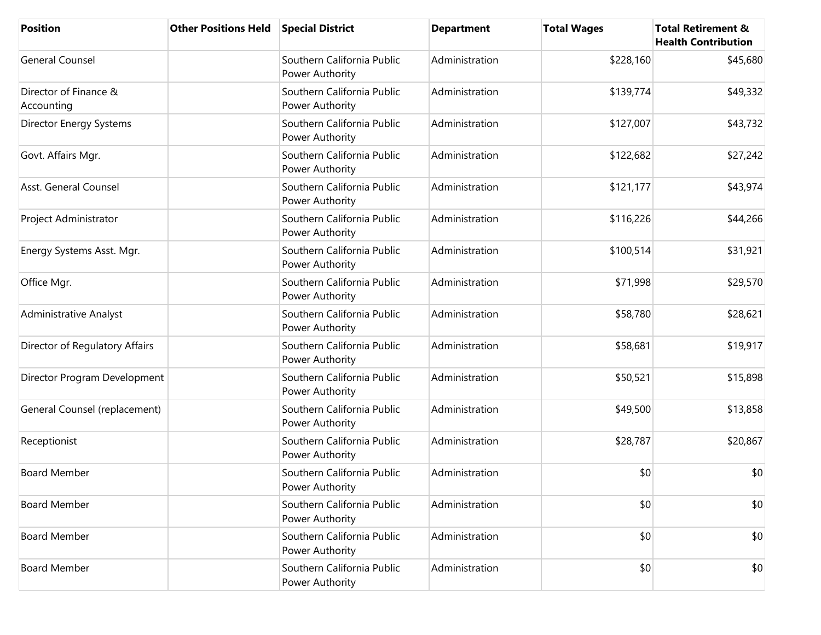| <b>Position</b>                     | <b>Other Positions Held</b> | <b>Special District</b>                       | <b>Department</b> | <b>Total Wages</b> | <b>Total Retirement &amp;</b><br><b>Health Contribution</b> |
|-------------------------------------|-----------------------------|-----------------------------------------------|-------------------|--------------------|-------------------------------------------------------------|
| <b>General Counsel</b>              |                             | Southern California Public<br>Power Authority | Administration    | \$228,160          | \$45,680                                                    |
| Director of Finance &<br>Accounting |                             | Southern California Public<br>Power Authority | Administration    | \$139,774          | \$49,332                                                    |
| Director Energy Systems             |                             | Southern California Public<br>Power Authority | Administration    | \$127,007          | \$43,732                                                    |
| Govt. Affairs Mgr.                  |                             | Southern California Public<br>Power Authority | Administration    | \$122,682          | \$27,242                                                    |
| Asst. General Counsel               |                             | Southern California Public<br>Power Authority | Administration    | \$121,177          | \$43,974                                                    |
| Project Administrator               |                             | Southern California Public<br>Power Authority | Administration    | \$116,226          | \$44,266                                                    |
| Energy Systems Asst. Mgr.           |                             | Southern California Public<br>Power Authority | Administration    | \$100,514          | \$31,921                                                    |
| Office Mgr.                         |                             | Southern California Public<br>Power Authority | Administration    | \$71,998           | \$29,570                                                    |
| Administrative Analyst              |                             | Southern California Public<br>Power Authority | Administration    | \$58,780           | \$28,621                                                    |
| Director of Regulatory Affairs      |                             | Southern California Public<br>Power Authority | Administration    | \$58,681           | \$19,917                                                    |
| Director Program Development        |                             | Southern California Public<br>Power Authority | Administration    | \$50,521           | \$15,898                                                    |
| General Counsel (replacement)       |                             | Southern California Public<br>Power Authority | Administration    | \$49,500           | \$13,858                                                    |
| Receptionist                        |                             | Southern California Public<br>Power Authority | Administration    | \$28,787           | \$20,867                                                    |
| <b>Board Member</b>                 |                             | Southern California Public<br>Power Authority | Administration    | \$0                | \$0                                                         |
| <b>Board Member</b>                 |                             | Southern California Public<br>Power Authority | Administration    | \$0                | \$0                                                         |
| <b>Board Member</b>                 |                             | Southern California Public<br>Power Authority | Administration    | \$0                | \$0                                                         |
| <b>Board Member</b>                 |                             | Southern California Public<br>Power Authority | Administration    | \$0                | \$0                                                         |